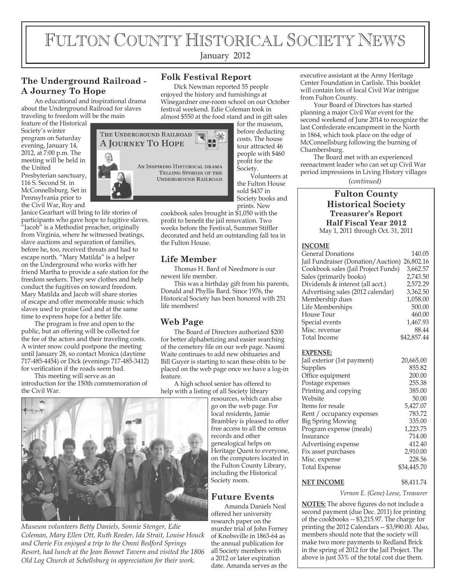# FULTON COUNTY HISTORICAL SOCIETY NEWS

January 2012

**Folk Festival Report**

## **The Underground Railroad - A Journey To Hope**

An educational and inspirational drama about the Underground Railroad for slaves traveling to freedom will be the main

feature of the Historical Society's winter program on Saturday evening, January 14, 2012, at 7:00 p.m. The meeting will be held in the United Presbyterian sanctuary, 116 S. Second St. in McConnellsburg. Set in Pennsylvania prior to

the Civil War, Roy and Janice Gearhart will bring to life stories of participants who gave hope to fugitive slaves. "Jacob" is a Methodist preacher, originally from Virginia, where he witnessed beatings, slave auctions and separation of families, before he, too, received threats and had to escape north. "Mary Matilda" is a helper on the Underground who works with her friend Martha to provide a safe station for the freedom seekers. They sew clothes and help conduct the fugitives on toward freedom. Mary Matilda and Jacob will share stories of escape and offer memorable music which slaves used to praise God and at the same time to express hope for a better life.

The program is free and open to the public, but an offering will be collected for the fee of the actors and their traveling costs. A winter snow could postpone the meeting until January 28, so contact Monica (daytime 717-485-4454) or Dick (evenings 717-485-3412) for verification if the roads seem bad.

This meeting will serve as an introduction for the 150th commemoration of the Civil War.



Dick Newman reported 55 people enjoyed the history and furnishings at Winegardner one-room school on our October festival weekend. Edie Coleman took in almost \$550 at the food stand and in gift sales

for the museum, before deducting costs. The house tour attracted 46 people with \$460 profit for the Society.

Volunteers at the Fulton House sold \$437 in Society books and prints. New

cookbook sales brought in \$1,050 with the profit to benefit the jail renovation. Two weeks before the Festival, Summer Stiffler decorated and held an outstanding fall tea in the Fulton House.

## **Life Member**

Thomas H. Bard of Needmore is our newest life member.

This was a birthday gift from his parents, Donald and Phyllis Bard. Since 1976, the Historical Society has been honored with 251 life members!

## **Web Page**

The Board of Directors authorized \$200 for better alphabetizing and easier searching of the cemetery file on our web page. Naomi Waite continues to add new obituaries and Bill Guyer is starting to scan these obits to be placed on the web page once we have a log-in feature.

A high school senior has offered to help with a listing of all Society library

resources, which can also go on the web page. For local residents, Jamie Brambley is pleased to offer free access to all the census records and other genealogical helps on Heritage Quest to everyone, on the computers located in the Fulton County Library, including the Historical Society room.

## **Future Events**

Amanda Daniels Neal offered her university research paper on the murder trial of John Forney of Knobsville in 1863-64 as the annual publication for all Society members with a 2012 or later expiration date. Amanda serves as the

executive assistant at the Army Heritage Center Foundation in Carlisle. This booklet will contain lots of local Civil War intrigue from Fulton County.

Your Board of Directors has started planning a major Civil War event for the second weekend of June 2014 to recognize the last Confederate encampment in the North in 1864, which took place on the edge of McConnellsburg following the burning of Chambersburg.

The Board met with an experienced reenactment leader who can set up Civil War period impressions in Living History villages

*(continued)*

#### **Fulton County Historical Society Treasurer's Report Half Fiscal Year 2012** May 1, 2011 through Oct. 31, 2011

#### **INCOME**

| <b>General Donations</b>            | 140.05      |
|-------------------------------------|-------------|
| Jail Fundraiser (Donation/Auction)  | 26,802.16   |
| Cookbook sales (Jail Project Funds) | 3,662.57    |
| Sales (primarily books)             | 2,743.50    |
| Dividends & interest (all acct.)    | 2,572.29    |
| Advertising sales (2012 calendar)   | 3,362.50    |
| Membership dues                     | 1,058.00    |
| Life Memberships                    | 500.00      |
| House Tour                          | 460.00      |
| Special events                      | 1,467.93    |
| Misc. revenue                       | 88.44       |
| Total Income                        | \$42,857.44 |
|                                     |             |
| <b>EXPENSE:</b>                     |             |
| Jail exterior (1st payment)         | 20,665.00   |
| Supplies                            | 855.82      |
| Office equipment                    | 200.00      |
| Postage expenses                    | 255.38      |
| Printing and copying                | 385.00      |
| Website                             | 50.00       |
| Items for resale                    | 5,427.07    |
| Rent / occupancy expenses           | 783.72      |
| Big Spring Mowing                   | 335.00      |
| Program expense (meals)             | 1,223.75    |
| Insurance                           | 714.00      |
| Advertising expense                 | 412.40      |
| Fix asset purchases                 | 2,910.00    |
| Misc. expense                       | 228.56      |
| <b>Total Expense</b>                | \$34,445.70 |
|                                     |             |

#### **NET INCOME** \$8,411.74

*Vernon E. (Gene) Leese, Treasurer*

**NOTES:** The above figures do not include a second payment (due Dec. 2011) for printing of the cookbooks -- \$3,215.97. The charge for printing the 2012 Calendars -- \$3,990.00. Also, members should note that the society will make two more payments to Redland Brick in the spring of 2012 for the Jail Project. The above is just 33% of the total cost due them.



*Museum volunteers Betty Daniels, Sonnie Stenger, Edie Coleman, Mary Ellen Ott, Ruth Reeder, Ida Strait, Louise Houck and Cherie Fix enjoyed a trip to the Omni Bedford Springs Resort, had lunch at the Jean Bonnet Tavern and visited the 1806 Old Log Church at Schellsburg in appreciation for their work.*